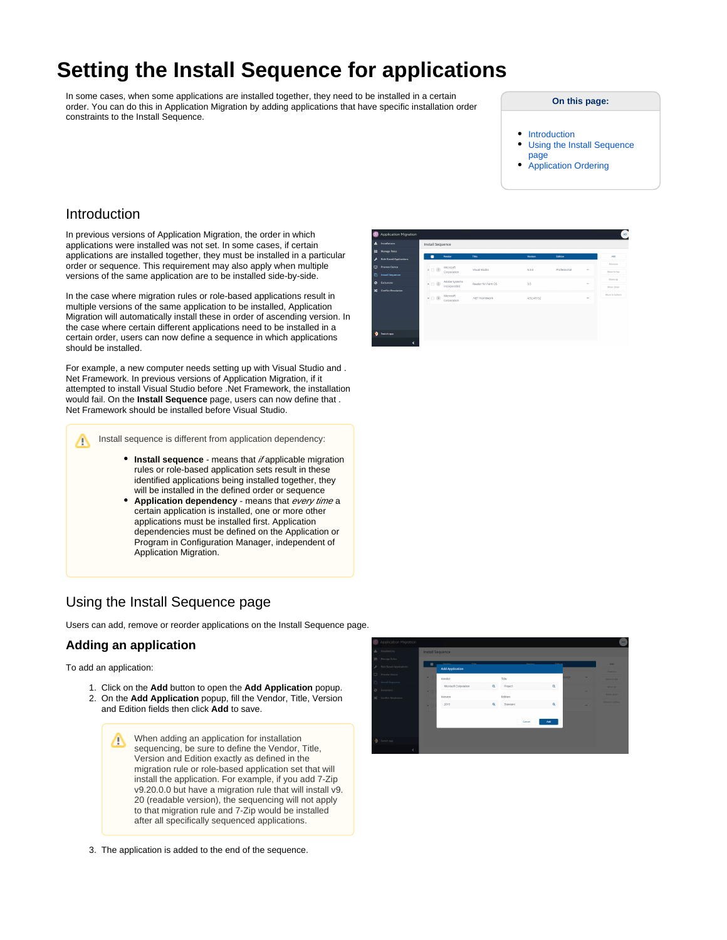# **Setting the Install Sequence for applications**

In some cases, when some applications are installed together, they need to be installed in a certain order. You can do this in Application Migration by adding applications that have specific installation order constraints to the Install Sequence.

#### **On this page:**

- [Introduction](#page-0-0)
- [Using the Install Sequence](#page-0-1)  [page](#page-0-1)
- [Application Ordering](#page-2-0)

# <span id="page-0-0"></span>Introduction

In previous versions of Application Migration, the order in which applications were installed was not set. In some cases, if certain applications are installed together, they must be installed in a particular order or sequence. This requirement may also apply when multiple versions of the same application are to be installed side-by-side.

In the case where migration rules or role-based applications result in multiple versions of the same application to be installed, Application Migration will automatically install these in order of ascending version. In the case where certain different applications need to be installed in a certain order, users can now define a sequence in which applications should be installed.

For example, a new computer needs setting up with Visual Studio and . Net Framework. In previous versions of Application Migration, if it attempted to install Visual Studio before .Net Framework, the installation would fail. On the **Install Sequence** page, users can now define that . Net Framework should be installed before Visual Studio.

Install sequence is different from application dependency: ∧

- **Install sequence** means that if applicable migration rules or role-based application sets result in these identified applications being installed together, they will be installed in the defined order or sequence
- Application dependency means that every time a certain application is installed, one or more other applications must be installed first. Application dependencies must be defined on the Application or Program in Configuration Manager, independent of Application Migration.

# <span id="page-0-1"></span>Using the Install Sequence page

Users can add, remove or reorder applications on the Install Sequence page.

## **Adding an application**

To add an application:

- 1. Click on the **Add** button to open the **Add Application** popup.
- 2. On the **Add Application** popup, fill the Vendor, Title, Version and Edition fields then click **Add** to save.

When adding an application for installation Λ sequencing, be sure to define the Vendor, Title, Version and Edition exactly as defined in the migration rule or role-based application set that will install the application. For example, if you add 7-Zip v9.20.0.0 but have a migration rule that will install v9. 20 (readable version), the sequencing will not apply to that migration rule and 7-Zip would be installed after all specifically sequenced applications.

3. The application is added to the end of the sequence.



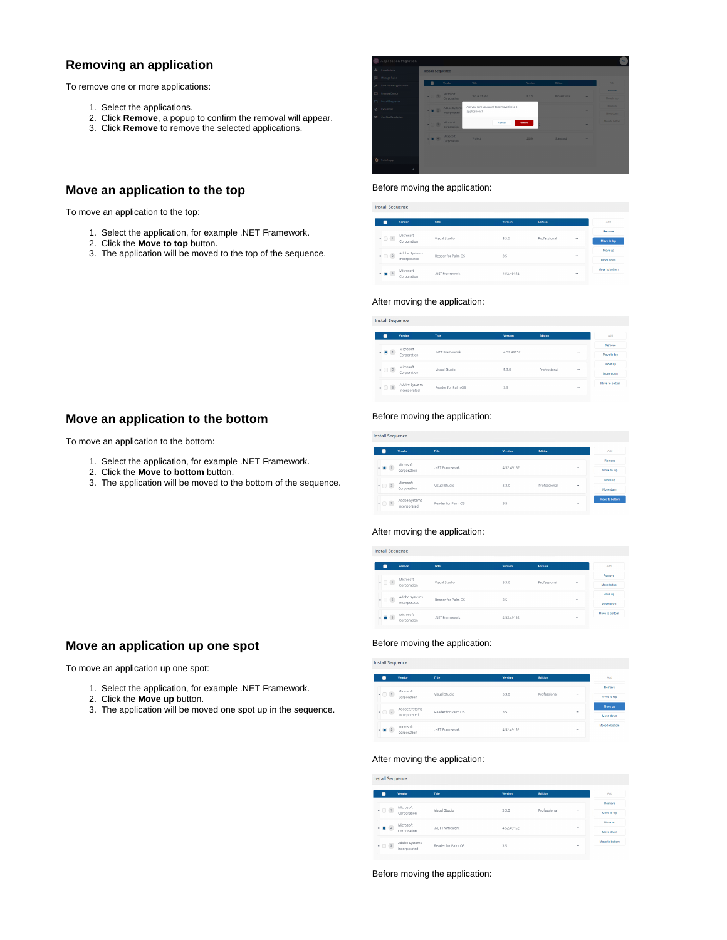# **Removing an application**

To remove one or more applications:

- 1. Select the applications.
- 2. Click **Remove**, a popup to confirm the removal will appear.
- 3. Click **Remove** to remove the selected applications.

# **Move an application to the top**

To move an application to the top:

- 1. Select the application, for example .NET Framework.
- 2. Click the **Move to top** button.
- 3. The application will be moved to the top of the sequence.



#### Before moving the application:

| Install Sequence                   |                                                            |                    |         |              |          |                             |  |
|------------------------------------|------------------------------------------------------------|--------------------|---------|--------------|----------|-----------------------------|--|
|                                    | Vendor                                                     | Title              | Version | Edition      |          | Add                         |  |
|                                    | Microsoft<br>Corporation                                   | Visual Studio      | 5.3.0   |              | $\cdots$ | Remove                      |  |
| $+$ $\bigcirc$ $(1)$               |                                                            |                    |         | Professional |          | Move to top                 |  |
| $=$ $\Box$ $(2)$                   | Adobe Systems                                              | Reader for Palm OS | 3.5     |              | $\sim$   | Move up                     |  |
|                                    | Incorporated<br>Microsoft<br>.NFT Framework<br>Corporation |                    |         |              |          | Move down<br>Move to bottom |  |
| $\blacksquare$ 3<br>$\mathbb{R}^+$ |                                                            | 4.52.49152         |         | $\sim$       |          |                             |  |

#### After moving the application:

| $1 - 1$ $11 - 1$ |  |  |
|------------------|--|--|

|                             | Vendor                        | Title              | <b>Version</b> | Edition      |          | Add            |
|-----------------------------|-------------------------------|--------------------|----------------|--------------|----------|----------------|
|                             | Microsoft                     |                    |                |              |          | Remove         |
| $\blacksquare$ (1)          | Corporation                   | .NFT Framework     | 4.52.49152     |              | $\cdots$ | Move to top    |
|                             | Microsoft                     |                    |                |              |          | Move up        |
| $\blacksquare$ $\Box$ $(2)$ | Corporation                   | Visual Studio      | 5.3.0          | Professional | 144      | Move down      |
| $ (3)$                      | Adobe Systems<br>Incorporated | Reader for Palm OS | 3.5            |              | $\cdots$ | Move to bottom |

### **Move an application to the bottom**

To move an application to the bottom:

- 1. Select the application, for example .NET Framework.
- 2. Click the **Move to bottom** button.
- 3. The application will be moved to the bottom of the sequence.

#### Before moving the application:

**Install Sequence** 

|  |                             | Vendor                        | Title              | Version    | Edition      |        | Add            |
|--|-----------------------------|-------------------------------|--------------------|------------|--------------|--------|----------------|
|  |                             | Microsoft                     |                    |            |              |        | Remove         |
|  | $+$ $ +$                    | Corporation                   | NFT Framework      | 4.52.49152 |              | $\sim$ | Move to top    |
|  |                             | Microsoft<br>Corporation      | Visual Studio      | 5.3.0      | Professional | $\sim$ | Move up        |
|  | $\blacksquare$ $\Box$ $(2)$ |                               |                    |            |              |        | Move down      |
|  |                             | Adobe Systems<br>Incorporated | Reader for Palm OS | 3.5        |              | $\sim$ | Move to bottom |
|  | $\bullet$ $\Box$ (3)        |                               |                    |            |              |        |                |

#### After moving the application:

Install Sequence

|                        | Vendor        | Title              | Version    | Edition      |             | Add            |
|------------------------|---------------|--------------------|------------|--------------|-------------|----------------|
|                        | Microsoft     |                    |            |              |             | Remove         |
| $+$ $($ $(1)$          | Corporation   | Visual Studio      | 5.3.0      | Professional | <b>STAR</b> | Move to too    |
| $\bullet$ $\Box$ $(2)$ | Adobe Systems | Reader for Palm OS | 3.5        |              | $\sim$      | Move up        |
|                        | Incorporated  |                    |            |              |             | Move down      |
| $  3$                  | Microsoft     | NFT Framework      | 4.52.49152 |              | 188         | Move to bottom |
|                        | Corporation   |                    |            |              |             |                |

#### Before moving the application:

**Install Sequence** 

|                             | Vendor        | Title              | Version    | Edition      |            | Add            |
|-----------------------------|---------------|--------------------|------------|--------------|------------|----------------|
|                             | Microsoft     |                    |            |              |            | Remove         |
| $\bullet$ $\circ$ $\bullet$ | Corporation   | Visual Studio      | 5.3.0      | Professional | $\sim$     | Move to too    |
|                             | Adobe Systems |                    |            |              |            | Move up        |
| $\bullet$ $\Box$ $(2)$      | Incorporated  | Reader for Palm OS | 3.5        |              | <b>COL</b> | Move down      |
| $  3$                       | Microsoft     | NFT Framework      | 4.52.49152 |              | $\cdots$   | Move to bottom |
|                             | Corporation   |                    |            |              |            |                |

#### After moving the application:

**Install Sequence** 

|                        | Vendor                            | Title                  | Version    | <b>fidition</b> |          | Add            |
|------------------------|-----------------------------------|------------------------|------------|-----------------|----------|----------------|
|                        | Microsoft                         | Visual Studio<br>5.3.0 |            |                 |          | Remove         |
| $\bullet$ $\Box$ $(1)$ | Corporation                       |                        |            | Professional    | $\cdots$ | Move to top    |
|                        | Microsoft<br>Corporation          | NFT Framework          | 4.52.49152 |                 | $\cdots$ | Move up        |
| $ 2$                   |                                   |                        |            |                 |          | Move down      |
|                        |                                   | Reader for Palm OS     | 3.5        |                 | $\cdots$ | Move to bottom |
|                        | - 3 Adobe Systems<br>Incorporated |                        |            |                 |          |                |

Before moving the application:

# **Move an application up one spot**

To move an application up one spot:

- 1. Select the application, for example .NET Framework.
- 2. Click the **Move up** button.
- 3. The application will be moved one spot up in the sequence.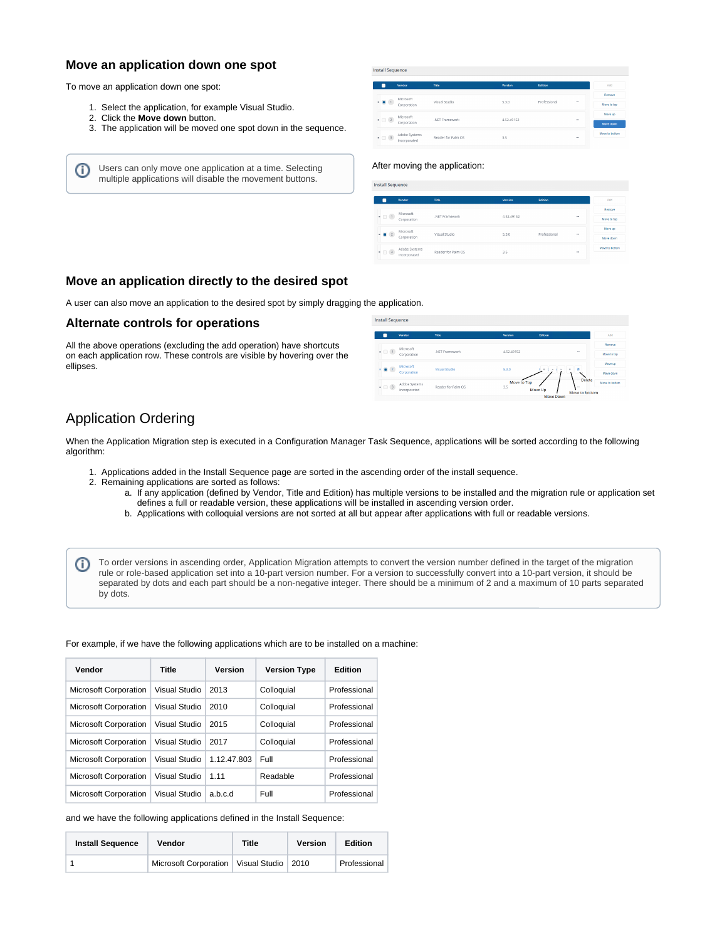### **Move an application down one spot**

To move an application down one spot:

O)

- 1. Select the application, for example Visual Studio.
- 2. Click the **Move down** button.
- 3. The application will be moved one spot down in the sequence.

Users can only move one application at a time. Selecting multiple applications will disable the movement buttons.

| v                  | Vendor                                                                                                                                                                                                                                                                    | Title              | Version    | Edition      |            | Add            |
|--------------------|---------------------------------------------------------------------------------------------------------------------------------------------------------------------------------------------------------------------------------------------------------------------------|--------------------|------------|--------------|------------|----------------|
|                    | Microsoft                                                                                                                                                                                                                                                                 |                    |            |              |            | Remove         |
| $\blacksquare$ (1) | Corporation                                                                                                                                                                                                                                                               | Visual Studio      | 5.3.0      | Professional |            | Move to too    |
|                    | Microsoft                                                                                                                                                                                                                                                                 | .NET Framework     | 4.52.49152 |              | <b>SEE</b> | Move up        |
|                    | $\begin{array}{ c c c }\n\hline\n\end{array}$ $\begin{array}{ c c }\n\hline\n\end{array}$ $\begin{array}{ c c }\n\hline\n\end{array}$ $\begin{array}{ c c }\n\hline\n\end{array}$ $\begin{array}{ c c }\n\hline\n\end{array}$ $\begin{array}{ c c }\n\hline\n\end{array}$ |                    |            |              |            | Move down      |
| $ (3)$             | Adobe Systems                                                                                                                                                                                                                                                             | Reader for Palm OS | 3.5        |              |            | Move to bottom |
|                    | Incorporated                                                                                                                                                                                                                                                              |                    |            |              |            |                |

#### After moving the application:

|           | <b>Install Sequence</b>       |                    |                |              |        |                             |  |  |
|-----------|-------------------------------|--------------------|----------------|--------------|--------|-----------------------------|--|--|
|           | Vendor                        | Title              | <b>Version</b> | Edition      |        | Add                         |  |  |
|           | Microsoft                     |                    |                |              |        | Remove                      |  |  |
| $=$ $(1)$ | Corporation                   | .NET Framework     | 4.52.49152     |              | $\sim$ | Move to too                 |  |  |
| $= 2$     | Microsoft                     | Visual Studio      | 5.3.0          | Professional | $\sim$ | Move up                     |  |  |
|           | Corporation                   |                    |                |              |        | Move down<br>Move to bottom |  |  |
| $  3$     | Adobe Systems<br>Incorporated | Reader for Palm OS | 3.5            |              | $\sim$ |                             |  |  |

### **Move an application directly to the desired spot**

A user can also move an application to the desired spot by simply dragging the application.

#### **Alternate controls for operations**

All the above operations (excluding the add operation) have shortcuts on each application row. These controls are visible by hovering over the ellipses.

|                           |               | <b>Install Sequence</b> |                    |                    |                            |                         |                |
|---------------------------|---------------|-------------------------|--------------------|--------------------|----------------------------|-------------------------|----------------|
|                           |               |                         |                    |                    |                            |                         |                |
|                           |               | Vendor                  | Title              | Version            | Edition                    |                         | Add            |
|                           |               | Microsoft               |                    |                    |                            |                         | Remove         |
| $\bullet$ $\circ$ $\circ$ |               | Corporation             | .NET Framework     | 4.52.49152         |                            | $\sim$                  | Move to too    |
|                           |               | Microsoft               |                    |                    |                            |                         | Move up        |
|                           | $\bullet$ (2) | Corporation             | Visual Studio      | 5.3.0              | $\sim$<br>$\sim$<br>$\sim$ | n<br>$\eta$             | Move down      |
| $ (3)$                    |               | Adobe Systems           | Reader for Palm OS | Move to Top<br>3.5 |                            | <b>Delete</b><br>$\sim$ | Move to bottom |
|                           |               | Incorporated            |                    |                    | Move Up<br>Move Down       | Move to bottom          |                |
|                           |               |                         |                    |                    |                            |                         |                |

# <span id="page-2-0"></span>Application Ordering

(i)

When the Application Migration step is executed in a Configuration Manager Task Sequence, applications will be sorted according to the following algorithm:

- 1. Applications added in the Install Sequence page are sorted in the ascending order of the install sequence.
- 2. Remaining applications are sorted as follows:
	- a. If any application (defined by Vendor, Title and Edition) has multiple versions to be installed and the migration rule or application set defines a full or readable version, these applications will be installed in ascending version order.
	- b. Applications with colloquial versions are not sorted at all but appear after applications with full or readable versions.

To order versions in ascending order, Application Migration attempts to convert the version number defined in the target of the migration rule or role-based application set into a 10-part version number. For a version to successfully convert into a 10-part version, it should be separated by dots and each part should be a non-negative integer. There should be a minimum of 2 and a maximum of 10 parts separated by dots.

For example, if we have the following applications which are to be installed on a machine:

| Vendor                       | Title                | Version     | <b>Version Type</b> | <b>Edition</b> |
|------------------------------|----------------------|-------------|---------------------|----------------|
| <b>Microsoft Corporation</b> | Visual Studio        | 2013        | Colloquial          | Professional   |
| <b>Microsoft Corporation</b> | Visual Studio        | 2010        | Colloquial          | Professional   |
| <b>Microsoft Corporation</b> | Visual Studio        | 2015        | Colloquial          | Professional   |
| <b>Microsoft Corporation</b> | <b>Visual Studio</b> | 2017        | Colloquial          | Professional   |
| <b>Microsoft Corporation</b> | Visual Studio        | 1.12.47.803 | Full                | Professional   |
| <b>Microsoft Corporation</b> | Visual Studio        | 1.11        | Readable            | Professional   |
| <b>Microsoft Corporation</b> | Visual Studio        | a.b.c.d     | Full                | Professional   |

and we have the following applications defined in the Install Sequence:

| <b>Install Sequence</b> | Vendor                | Title         | Version | <b>Edition</b> |
|-------------------------|-----------------------|---------------|---------|----------------|
|                         | Microsoft Corporation | Visual Studio | 2010    | Professional   |